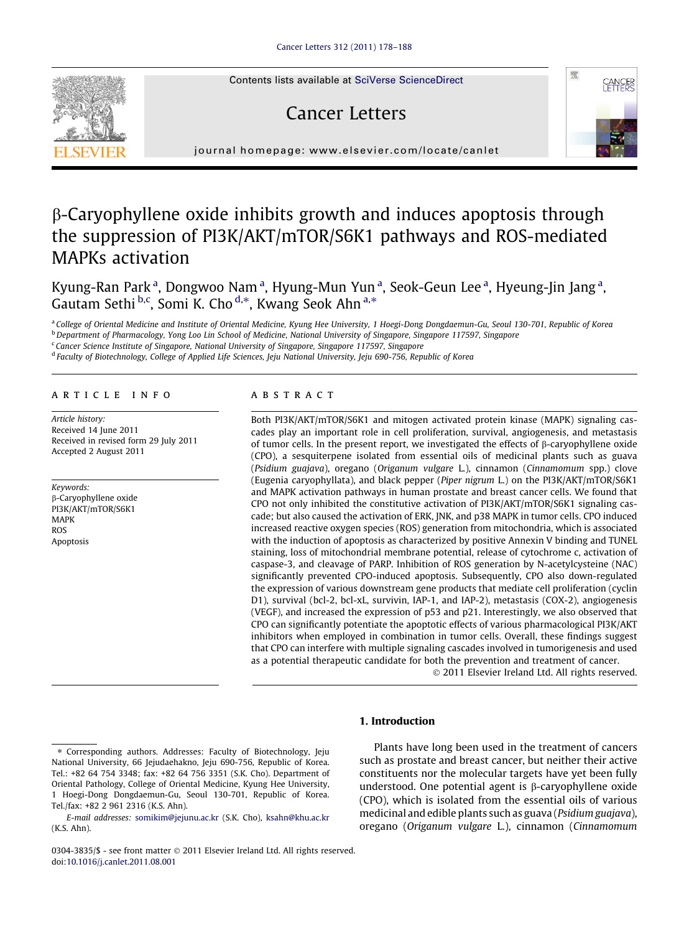Contents lists available at [SciVerse ScienceDirect](http://www.sciencedirect.com/science/journal/03043835)

# Cancer Letters



journal homepage: [www.elsevier.com/locate/canlet](http://www.elsevier.com/locate/canlet)

# b-Caryophyllene oxide inhibits growth and induces apoptosis through the suppression of PI3K/AKT/mTOR/S6K1 pathways and ROS-mediated MAPKs activation

Kyung-Ran Park<sup>a</sup>, Dongwoo Nam<sup>a</sup>, Hyung-Mun Yun<sup>a</sup>, Seok-Geun Lee<sup>a</sup>, Hyeung-Jin Jang<sup>a</sup>, Gautam Sethi b,c, Somi K. Cho <sup>d,\*</sup>, Kwang Seok Ahn <sup>a,\*</sup>

a College of Oriental Medicine and Institute of Oriental Medicine, Kyung Hee University, 1 Hoegi-Dong Dongdaemun-Gu, Seoul 130-701, Republic of Korea **b** Department of Pharmacology, Yong Loo Lin School of Medicine, National University of Singapore, Singapore 117597, Singapore

<sup>c</sup> Cancer Science Institute of Singapore, National University of Singapore, Singapore 117597, Singapore

<sup>d</sup> Faculty of Biotechnology, College of Applied Life Sciences, Jeju National University, Jeju 690-756, Republic of Korea

## article info

Article history: Received 14 June 2011 Received in revised form 29 July 2011 Accepted 2 August 2011

Keywords: b-Caryophyllene oxide PI3K/AKT/mTOR/S6K1 MAPK ROS Apoptosis

## **ABSTRACT**

Both PI3K/AKT/mTOR/S6K1 and mitogen activated protein kinase (MAPK) signaling cascades play an important role in cell proliferation, survival, angiogenesis, and metastasis of tumor cells. In the present report, we investigated the effects of  $\beta$ -caryophyllene oxide (CPO), a sesquiterpene isolated from essential oils of medicinal plants such as guava (Psidium guajava), oregano (Origanum vulgare L.), cinnamon (Cinnamomum spp.) clove (Eugenia caryophyllata), and black pepper (Piper nigrum L.) on the PI3K/AKT/mTOR/S6K1 and MAPK activation pathways in human prostate and breast cancer cells. We found that CPO not only inhibited the constitutive activation of PI3K/AKT/mTOR/S6K1 signaling cascade; but also caused the activation of ERK, JNK, and p38 MAPK in tumor cells. CPO induced increased reactive oxygen species (ROS) generation from mitochondria, which is associated with the induction of apoptosis as characterized by positive Annexin V binding and TUNEL staining, loss of mitochondrial membrane potential, release of cytochrome c, activation of caspase-3, and cleavage of PARP. Inhibition of ROS generation by N-acetylcysteine (NAC) significantly prevented CPO-induced apoptosis. Subsequently, CPO also down-regulated the expression of various downstream gene products that mediate cell proliferation (cyclin D1), survival (bcl-2, bcl-xL, survivin, IAP-1, and IAP-2), metastasis (COX-2), angiogenesis (VEGF), and increased the expression of p53 and p21. Interestingly, we also observed that CPO can significantly potentiate the apoptotic effects of various pharmacological PI3K/AKT inhibitors when employed in combination in tumor cells. Overall, these findings suggest that CPO can interfere with multiple signaling cascades involved in tumorigenesis and used as a potential therapeutic candidate for both the prevention and treatment of cancer.

- 2011 Elsevier Ireland Ltd. All rights reserved.

# 1. Introduction

Plants have long been used in the treatment of cancers such as prostate and breast cancer, but neither their active constituents nor the molecular targets have yet been fully understood. One potential agent is  $\beta$ -caryophyllene oxide (CPO), which is isolated from the essential oils of various medicinal and edible plants such as guava (Psidium guajava), oregano (Origanum vulgare L.), cinnamon (Cinnamomum



Corresponding authors. Addresses: Faculty of Biotechnology, Jeju National University, 66 Jejudaehakno, Jeju 690-756, Republic of Korea. Tel.: +82 64 754 3348; fax: +82 64 756 3351 (S.K. Cho). Department of Oriental Pathology, College of Oriental Medicine, Kyung Hee University, 1 Hoegi-Dong Dongdaemun-Gu, Seoul 130-701, Republic of Korea. Tel./fax: +82 2 961 2316 (K.S. Ahn).

E-mail addresses: [somikim@jejunu.ac.kr](mailto:somikim@jejunu.ac.kr) (S.K. Cho), [ksahn@khu.ac.kr](mailto:ksahn@khu.ac.kr) (K.S. Ahn).

<sup>0304-3835/\$ -</sup> see front matter  $\odot$  2011 Elsevier Ireland Ltd. All rights reserved. doi[:10.1016/j.canlet.2011.08.001](http://dx.doi.org/10.1016/j.canlet.2011.08.001)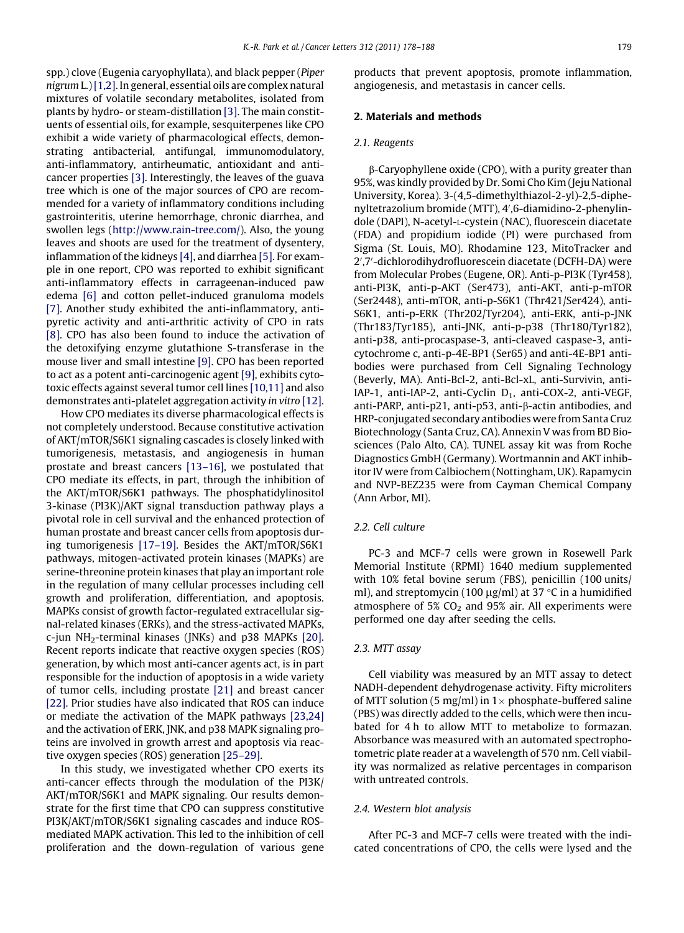spp.) clove (Eugenia caryophyllata), and black pepper (Piper nigrum L.)[\[1,2\]](#page-9-0). In general, essential oils are complex natural mixtures of volatile secondary metabolites, isolated from plants by hydro- or steam-distillation [\[3\].](#page-9-0) The main constituents of essential oils, for example, sesquiterpenes like CPO exhibit a wide variety of pharmacological effects, demonstrating antibacterial, antifungal, immunomodulatory, anti-inflammatory, antirheumatic, antioxidant and anticancer properties [\[3\]](#page-9-0). Interestingly, the leaves of the guava tree which is one of the major sources of CPO are recommended for a variety of inflammatory conditions including gastrointeritis, uterine hemorrhage, chronic diarrhea, and swollen legs (<http://www.rain-tree.com/>). Also, the young leaves and shoots are used for the treatment of dysentery, inflammation of the kidneys [\[4\],](#page-9-0) and diarrhea [\[5\].](#page-9-0) For example in one report, CPO was reported to exhibit significant anti-inflammatory effects in carrageenan-induced paw edema [\[6\]](#page-9-0) and cotton pellet-induced granuloma models [\[7\].](#page-9-0) Another study exhibited the anti-inflammatory, antipyretic activity and anti-arthritic activity of CPO in rats [\[8\].](#page-9-0) CPO has also been found to induce the activation of the detoxifying enzyme glutathione S-transferase in the mouse liver and small intestine [\[9\]](#page-9-0). CPO has been reported to act as a potent anti-carcinogenic agent [\[9\],](#page-9-0) exhibits cytotoxic effects against several tumor cell lines [\[10,11\]](#page-9-0) and also demonstrates anti-platelet aggregation activity in vitro [\[12\]](#page-9-0).

How CPO mediates its diverse pharmacological effects is not completely understood. Because constitutive activation of AKT/mTOR/S6K1 signaling cascades is closely linked with tumorigenesis, metastasis, and angiogenesis in human prostate and breast cancers [\[13–16\]](#page-9-0), we postulated that CPO mediate its effects, in part, through the inhibition of the AKT/mTOR/S6K1 pathways. The phosphatidylinositol 3-kinase (PI3K)/AKT signal transduction pathway plays a pivotal role in cell survival and the enhanced protection of human prostate and breast cancer cells from apoptosis during tumorigenesis [\[17–19\]](#page-9-0). Besides the AKT/mTOR/S6K1 pathways, mitogen-activated protein kinases (MAPKs) are serine-threonine protein kinases that play an important role in the regulation of many cellular processes including cell growth and proliferation, differentiation, and apoptosis. MAPKs consist of growth factor-regulated extracellular signal-related kinases (ERKs), and the stress-activated MAPKs,  $c$ -jun NH<sub>2</sub>-terminal kinases (JNKs) and  $p38$  MAPKs [\[20\]](#page-9-0). Recent reports indicate that reactive oxygen species (ROS) generation, by which most anti-cancer agents act, is in part responsible for the induction of apoptosis in a wide variety of tumor cells, including prostate [\[21\]](#page-10-0) and breast cancer [\[22\]](#page-10-0). Prior studies have also indicated that ROS can induce or mediate the activation of the MAPK pathways [\[23,24\]](#page-10-0) and the activation of ERK, JNK, and p38 MAPK signaling proteins are involved in growth arrest and apoptosis via reactive oxygen species (ROS) generation [\[25–29\]](#page-10-0).

In this study, we investigated whether CPO exerts its anti-cancer effects through the modulation of the PI3K/ AKT/mTOR/S6K1 and MAPK signaling. Our results demonstrate for the first time that CPO can suppress constitutive PI3K/AKT/mTOR/S6K1 signaling cascades and induce ROSmediated MAPK activation. This led to the inhibition of cell proliferation and the down-regulation of various gene

products that prevent apoptosis, promote inflammation, angiogenesis, and metastasis in cancer cells.

# 2. Materials and methods

## 2.1. Reagents

b-Caryophyllene oxide (CPO), with a purity greater than 95%, was kindly provided by Dr. Somi Cho Kim (Jeju National University, Korea). 3-(4,5-dimethylthiazol-2-yl)-2,5-diphenyltetrazolium bromide (MTT), 4',6-diamidino-2-phenylindole (DAPI), N-acetyl-L-cystein (NAC), fluorescein diacetate (FDA) and propidium iodide (PI) were purchased from Sigma (St. Louis, MO). Rhodamine 123, MitoTracker and 2',7'-dichlorodihydrofluorescein diacetate (DCFH-DA) were from Molecular Probes (Eugene, OR). Anti-p-PI3K (Tyr458), anti-PI3K, anti-p-AKT (Ser473), anti-AKT, anti-p-mTOR (Ser2448), anti-mTOR, anti-p-S6K1 (Thr421/Ser424), anti-S6K1, anti-p-ERK (Thr202/Tyr204), anti-ERK, anti-p-JNK (Thr183/Tyr185), anti-JNK, anti-p-p38 (Thr180/Tyr182), anti-p38, anti-procaspase-3, anti-cleaved caspase-3, anticytochrome c, anti-p-4E-BP1 (Ser65) and anti-4E-BP1 antibodies were purchased from Cell Signaling Technology (Beverly, MA). Anti-Bcl-2, anti-Bcl-xL, anti-Survivin, anti-IAP-1, anti-IAP-2, anti-Cyclin  $D_1$ , anti-COX-2, anti-VEGF, anti-PARP, anti-p21, anti-p53, anti-b-actin antibodies, and HRP-conjugated secondary antibodies were from Santa Cruz Biotechnology (Santa Cruz, CA). Annexin V was from BD Biosciences (Palo Alto, CA). TUNEL assay kit was from Roche Diagnostics GmbH (Germany). Wortmannin and AKT inhibitor IV were from Calbiochem (Nottingham, UK). Rapamycin and NVP-BEZ235 were from Cayman Chemical Company (Ann Arbor, MI).

# 2.2. Cell culture

PC-3 and MCF-7 cells were grown in Rosewell Park Memorial Institute (RPMI) 1640 medium supplemented with 10% fetal bovine serum (FBS), penicillin (100 units/ ml), and streptomycin (100  $\mu$ g/ml) at 37 °C in a humidified atmosphere of 5%  $CO<sub>2</sub>$  and 95% air. All experiments were performed one day after seeding the cells.

# 2.3. MTT assay

Cell viability was measured by an MTT assay to detect NADH-dependent dehydrogenase activity. Fifty microliters of MTT solution (5 mg/ml) in 1 $\times$  phosphate-buffered saline (PBS) was directly added to the cells, which were then incubated for 4 h to allow MTT to metabolize to formazan. Absorbance was measured with an automated spectrophotometric plate reader at a wavelength of 570 nm. Cell viability was normalized as relative percentages in comparison with untreated controls.

## 2.4. Western blot analysis

After PC-3 and MCF-7 cells were treated with the indicated concentrations of CPO, the cells were lysed and the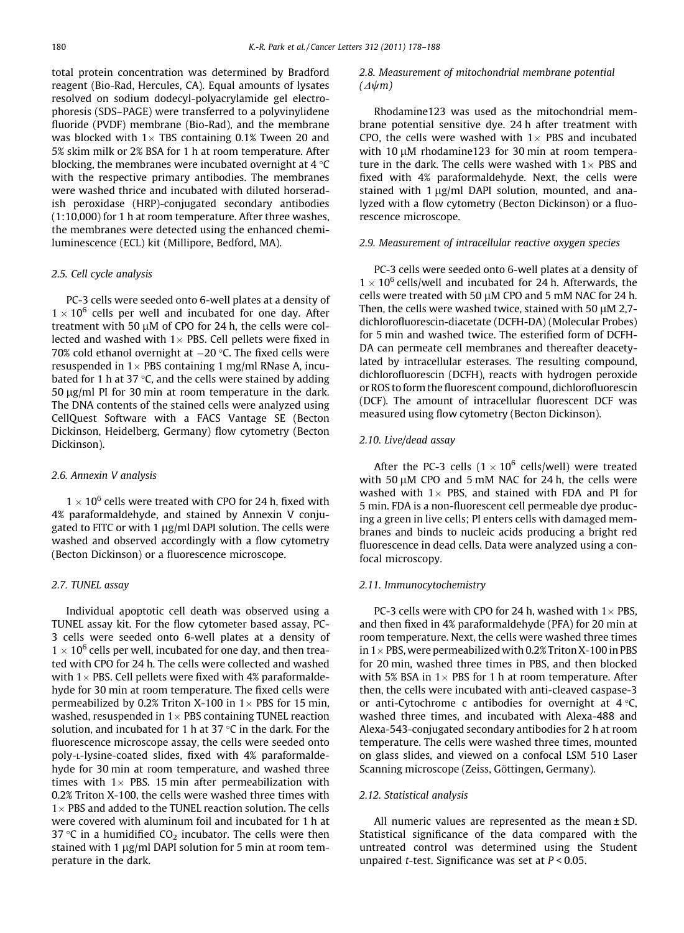total protein concentration was determined by Bradford reagent (Bio-Rad, Hercules, CA). Equal amounts of lysates resolved on sodium dodecyl-polyacrylamide gel electrophoresis (SDS–PAGE) were transferred to a polyvinylidene fluoride (PVDF) membrane (Bio-Rad), and the membrane was blocked with 1 $\times$  TBS containing 0.1% Tween 20 and 5% skim milk or 2% BSA for 1 h at room temperature. After blocking, the membranes were incubated overnight at  $4^{\circ}C$ with the respective primary antibodies. The membranes were washed thrice and incubated with diluted horseradish peroxidase (HRP)-conjugated secondary antibodies (1:10,000) for 1 h at room temperature. After three washes, the membranes were detected using the enhanced chemiluminescence (ECL) kit (Millipore, Bedford, MA).

# 2.5. Cell cycle analysis

PC-3 cells were seeded onto 6-well plates at a density of  $1 \times 10^6$  cells per well and incubated for one day. After treatment with 50  $\mu$ M of CPO for 24 h, the cells were collected and washed with  $1\times$  PBS. Cell pellets were fixed in 70% cold ethanol overnight at  $-20$  °C. The fixed cells were resuspended in  $1\times$  PBS containing 1 mg/ml RNase A, incubated for 1 h at 37  $\degree$ C, and the cells were stained by adding 50  $\mu$ g/ml PI for 30 min at room temperature in the dark. The DNA contents of the stained cells were analyzed using CellQuest Software with a FACS Vantage SE (Becton Dickinson, Heidelberg, Germany) flow cytometry (Becton Dickinson).

### 2.6. Annexin V analysis

 $1 \times 10^6$  cells were treated with CPO for 24 h, fixed with 4% paraformaldehyde, and stained by Annexin V conjugated to FITC or with 1  $\mu$ g/ml DAPI solution. The cells were washed and observed accordingly with a flow cytometry (Becton Dickinson) or a fluorescence microscope.

# 2.7. TUNEL assay

Individual apoptotic cell death was observed using a TUNEL assay kit. For the flow cytometer based assay, PC-3 cells were seeded onto 6-well plates at a density of  $1 \times 10^6$  cells per well, incubated for one day, and then treated with CPO for 24 h. The cells were collected and washed with 1 $\times$  PBS. Cell pellets were fixed with 4% paraformaldehyde for 30 min at room temperature. The fixed cells were permeabilized by 0.2% Triton X-100 in  $1\times$  PBS for 15 min, washed, resuspended in  $1\times$  PBS containing TUNEL reaction solution, and incubated for 1 h at 37  $\degree$ C in the dark. For the fluorescence microscope assay, the cells were seeded onto poly-L-lysine-coated slides, fixed with 4% paraformaldehyde for 30 min at room temperature, and washed three times with  $1\times$  PBS. 15 min after permeabilization with 0.2% Triton X-100, the cells were washed three times with  $1\times$  PBS and added to the TUNEL reaction solution. The cells were covered with aluminum foil and incubated for 1 h at 37 °C in a humidified  $CO<sub>2</sub>$  incubator. The cells were then stained with 1  $\mu$ g/ml DAPI solution for 5 min at room temperature in the dark.

# 2.8. Measurement of mitochondrial membrane potential  $(\Delta \psi m)$

Rhodamine123 was used as the mitochondrial membrane potential sensitive dye. 24 h after treatment with CPO, the cells were washed with  $1\times$  PBS and incubated with 10  $\mu$ M rhodamine123 for 30 min at room temperature in the dark. The cells were washed with  $1\times$  PBS and fixed with 4% paraformaldehyde. Next, the cells were stained with  $1 \mu g/ml$  DAPI solution, mounted, and analyzed with a flow cytometry (Becton Dickinson) or a fluorescence microscope.

# 2.9. Measurement of intracellular reactive oxygen species

PC-3 cells were seeded onto 6-well plates at a density of  $1 \times 10^6$  cells/well and incubated for 24 h. Afterwards, the cells were treated with 50 µM CPO and 5 mM NAC for 24 h. Then, the cells were washed twice, stained with 50  $\mu$ M 2,7dichlorofluorescin-diacetate (DCFH-DA) (Molecular Probes) for 5 min and washed twice. The esterified form of DCFH-DA can permeate cell membranes and thereafter deacetylated by intracellular esterases. The resulting compound, dichlorofluorescin (DCFH), reacts with hydrogen peroxide or ROS to form the fluorescent compound, dichlorofluorescin (DCF). The amount of intracellular fluorescent DCF was measured using flow cytometry (Becton Dickinson).

# 2.10. Live/dead assay

After the PC-3 cells ( $1 \times 10^6$  cells/well) were treated with 50  $\mu$ M CPO and 5 mM NAC for 24 h, the cells were washed with  $1\times$  PBS, and stained with FDA and PI for 5 min. FDA is a non-fluorescent cell permeable dye producing a green in live cells; PI enters cells with damaged membranes and binds to nucleic acids producing a bright red fluorescence in dead cells. Data were analyzed using a confocal microscopy.

## 2.11. Immunocytochemistry

PC-3 cells were with CPO for 24 h, washed with  $1 \times$  PBS, and then fixed in 4% paraformaldehyde (PFA) for 20 min at room temperature. Next, the cells were washed three times in 1  $\times$  PBS, were permeabilized with 0.2% Triton X-100 in PBS for 20 min, washed three times in PBS, and then blocked with 5% BSA in  $1\times$  PBS for 1 h at room temperature. After then, the cells were incubated with anti-cleaved caspase-3 or anti-Cytochrome c antibodies for overnight at  $4^{\circ}$ C, washed three times, and incubated with Alexa-488 and Alexa-543-conjugated secondary antibodies for 2 h at room temperature. The cells were washed three times, mounted on glass slides, and viewed on a confocal LSM 510 Laser Scanning microscope (Zeiss, Göttingen, Germany).

# 2.12. Statistical analysis

All numeric values are represented as the mean ± SD. Statistical significance of the data compared with the untreated control was determined using the Student unpaired *t*-test. Significance was set at  $P < 0.05$ .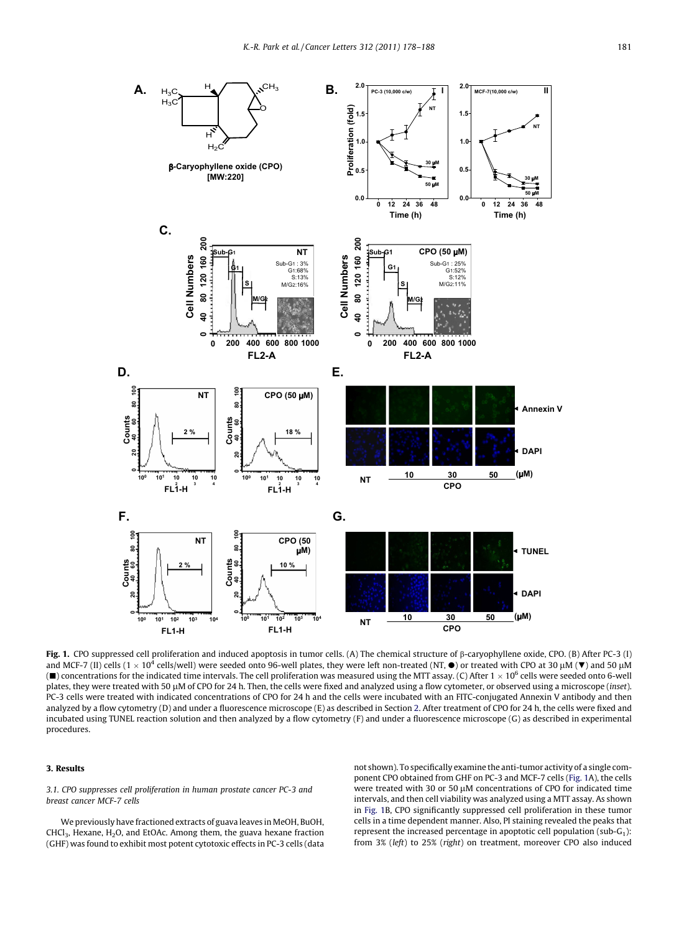<span id="page-3-0"></span>

Fig. 1. CPO suppressed cell proliferation and induced apoptosis in tumor cells. (A) The chemical structure of b-caryophyllene oxide, CPO. (B) After PC-3 (I) and MCF-7 (II) cells (1  $\times$  10<sup>4</sup> cells/well) were seeded onto 96-well plates, they were left non-treated (NT,  $\bullet$ ) or treated with CPO at 30 µM ( $\blacktriangledown$ ) and 50 µM  $(\blacksquare)$  concentrations for the indicated time intervals. The cell proliferation was measured using the MTT assay. (C) After 1  $\times$  10<sup>6</sup> cells were seeded onto 6-well plates, they were treated with 50 µM of CPO for 24 h. Then, the cells were fixed and analyzed using a flow cytometer, or observed using a microscope (inset). PC-3 cells were treated with indicated concentrations of CPO for 24 h and the cells were incubated with an FITC-conjugated Annexin V antibody and then analyzed by a flow cytometry (D) and under a fluorescence microscope (E) as described in Section 2. After treatment of CPO for 24 h, the cells were fixed and incubated using TUNEL reaction solution and then analyzed by a flow cytometry (F) and under a fluorescence microscope (G) as described in experimental procedures.

# 3. Results

3.1. CPO suppresses cell proliferation in human prostate cancer PC-3 and breast cancer MCF-7 cells

We previously have fractioned extracts of guava leaves in MeOH, BuOH,  $CHCl<sub>3</sub>$ , Hexane, H<sub>2</sub>O, and EtOAc. Among them, the guava hexane fraction (GHF) was found to exhibit most potent cytotoxic effects in PC-3 cells (data not shown). To specifically examine the anti-tumor activity of a single component CPO obtained from GHF on PC-3 and MCF-7 cells (Fig. 1A), the cells were treated with 30 or 50  $\mu$ M concentrations of CPO for indicated time intervals, and then cell viability was analyzed using a MTT assay. As shown in Fig. 1B, CPO significantly suppressed cell proliferation in these tumor cells in a time dependent manner. Also, PI staining revealed the peaks that represent the increased percentage in apoptotic cell population (sub- $G_1$ ): from 3% (left) to 25% (right) on treatment, moreover CPO also induced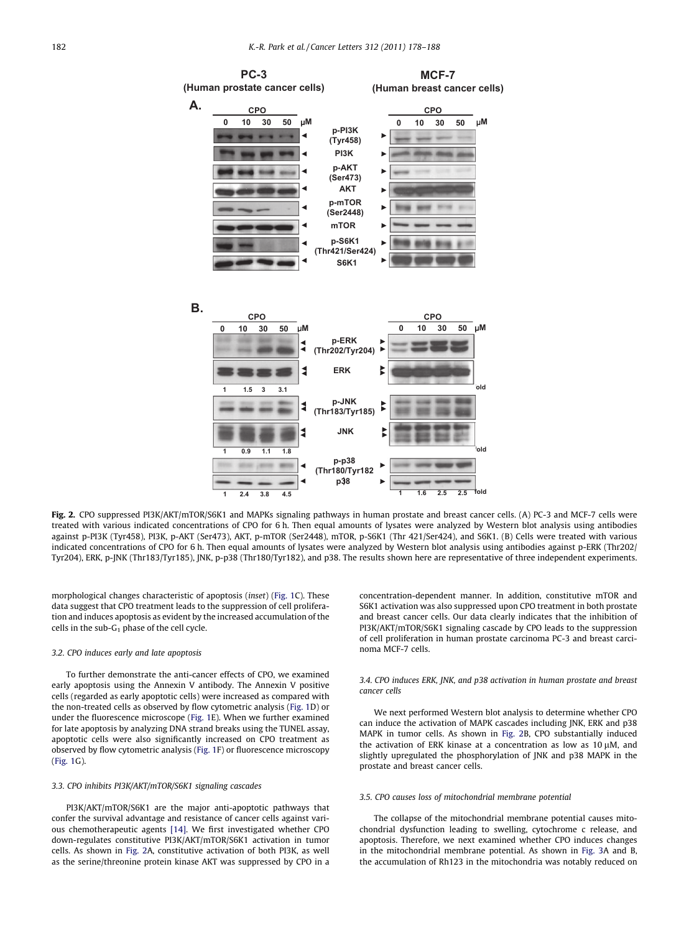

Fig. 2. CPO suppressed PI3K/AKT/mTOR/S6K1 and MAPKs signaling pathways in human prostate and breast cancer cells. (A) PC-3 and MCF-7 cells were treated with various indicated concentrations of CPO for 6 h. Then equal amounts of lysates were analyzed by Western blot analysis using antibodies against p-PI3K (Tyr458), PI3K, p-AKT (Ser473), AKT, p-mTOR (Ser2448), mTOR, p-S6K1 (Thr 421/Ser424), and S6K1. (B) Cells were treated with various indicated concentrations of CPO for 6 h. Then equal amounts of lysates were analyzed by Western blot analysis using antibodies against p-ERK (Thr202/ Tyr204), ERK, p-JNK (Thr183/Tyr185), JNK, p-p38 (Thr180/Tyr182), and p38. The results shown here are representative of three independent experiments.

morphological changes characteristic of apoptosis (inset) [\(Fig. 1C](#page-3-0)). These data suggest that CPO treatment leads to the suppression of cell proliferation and induces apoptosis as evident by the increased accumulation of the cells in the sub- $G_1$  phase of the cell cycle.

#### 3.2. CPO induces early and late apoptosis

To further demonstrate the anti-cancer effects of CPO, we examined early apoptosis using the Annexin V antibody. The Annexin V positive cells (regarded as early apoptotic cells) were increased as compared with the non-treated cells as observed by flow cytometric analysis ([Fig. 1](#page-3-0)D) or under the fluorescence microscope ([Fig. 1](#page-3-0)E). When we further examined for late apoptosis by analyzing DNA strand breaks using the TUNEL assay, apoptotic cells were also significantly increased on CPO treatment as observed by flow cytometric analysis ([Fig. 1F](#page-3-0)) or fluorescence microscopy ([Fig. 1G](#page-3-0)).

### 3.3. CPO inhibits PI3K/AKT/mTOR/S6K1 signaling cascades

PI3K/AKT/mTOR/S6K1 are the major anti-apoptotic pathways that confer the survival advantage and resistance of cancer cells against various chemotherapeutic agents [\[14\]](#page-9-0). We first investigated whether CPO down-regulates constitutive PI3K/AKT/mTOR/S6K1 activation in tumor cells. As shown in Fig. 2A, constitutive activation of both PI3K, as well as the serine/threonine protein kinase AKT was suppressed by CPO in a

concentration-dependent manner. In addition, constitutive mTOR and S6K1 activation was also suppressed upon CPO treatment in both prostate and breast cancer cells. Our data clearly indicates that the inhibition of PI3K/AKT/mTOR/S6K1 signaling cascade by CPO leads to the suppression of cell proliferation in human prostate carcinoma PC-3 and breast carcinoma MCF-7 cells.

#### 3.4. CPO induces ERK, JNK, and p38 activation in human prostate and breast cancer cells

We next performed Western blot analysis to determine whether CPO can induce the activation of MAPK cascades including JNK, ERK and p38 MAPK in tumor cells. As shown in Fig. 2B, CPO substantially induced the activation of ERK kinase at a concentration as low as  $10 \mu$ M, and slightly upregulated the phosphorylation of JNK and p38 MAPK in the prostate and breast cancer cells.

#### 3.5. CPO causes loss of mitochondrial membrane potential

The collapse of the mitochondrial membrane potential causes mitochondrial dysfunction leading to swelling, cytochrome c release, and apoptosis. Therefore, we next examined whether CPO induces changes in the mitochondrial membrane potential. As shown in [Fig. 3](#page-5-0)A and B, the accumulation of Rh123 in the mitochondria was notably reduced on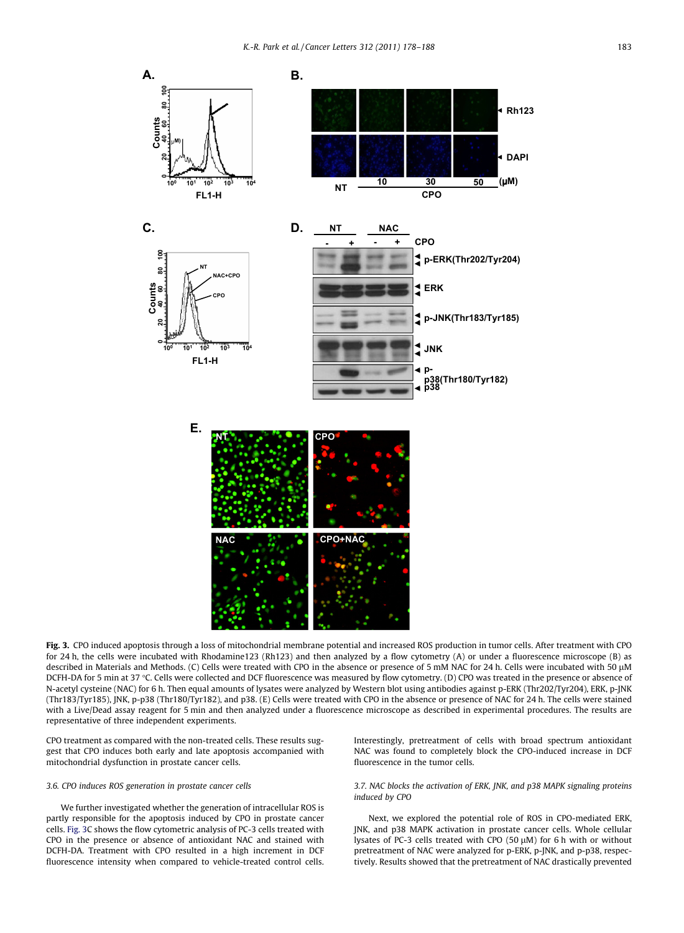<span id="page-5-0"></span>

Fig. 3. CPO induced apoptosis through a loss of mitochondrial membrane potential and increased ROS production in tumor cells. After treatment with CPO for 24 h, the cells were incubated with Rhodamine123 (Rh123) and then analyzed by a flow cytometry (A) or under a fluorescence microscope (B) as described in Materials and Methods. (C) Cells were treated with CPO in the absence or presence of 5 mM NAC for 24 h. Cells were incubated with 50 lM DCFH-DA for 5 min at 37 °C. Cells were collected and DCF fluorescence was measured by flow cytometry. (D) CPO was treated in the presence or absence of N-acetyl cysteine (NAC) for 6 h. Then equal amounts of lysates were analyzed by Western blot using antibodies against p-ERK (Thr202/Tyr204), ERK, p-JNK (Thr183/Tyr185), JNK, p-p38 (Thr180/Tyr182), and p38. (E) Cells were treated with CPO in the absence or presence of NAC for 24 h. The cells were stained with a Live/Dead assay reagent for 5 min and then analyzed under a fluorescence microscope as described in experimental procedures. The results are representative of three independent experiments.

CPO treatment as compared with the non-treated cells. These results suggest that CPO induces both early and late apoptosis accompanied with mitochondrial dysfunction in prostate cancer cells.

#### 3.6. CPO induces ROS generation in prostate cancer cells

We further investigated whether the generation of intracellular ROS is partly responsible for the apoptosis induced by CPO in prostate cancer cells. Fig. 3C shows the flow cytometric analysis of PC-3 cells treated with CPO in the presence or absence of antioxidant NAC and stained with DCFH-DA. Treatment with CPO resulted in a high increment in DCF fluorescence intensity when compared to vehicle-treated control cells. Interestingly, pretreatment of cells with broad spectrum antioxidant NAC was found to completely block the CPO-induced increase in DCF fluorescence in the tumor cells.

#### 3.7. NAC blocks the activation of ERK, JNK, and p38 MAPK signaling proteins induced by CPO

Next, we explored the potential role of ROS in CPO-mediated ERK, JNK, and p38 MAPK activation in prostate cancer cells. Whole cellular lysates of PC-3 cells treated with CPO (50  $\mu$ M) for 6 h with or without pretreatment of NAC were analyzed for p-ERK, p-JNK, and p-p38, respectively. Results showed that the pretreatment of NAC drastically prevented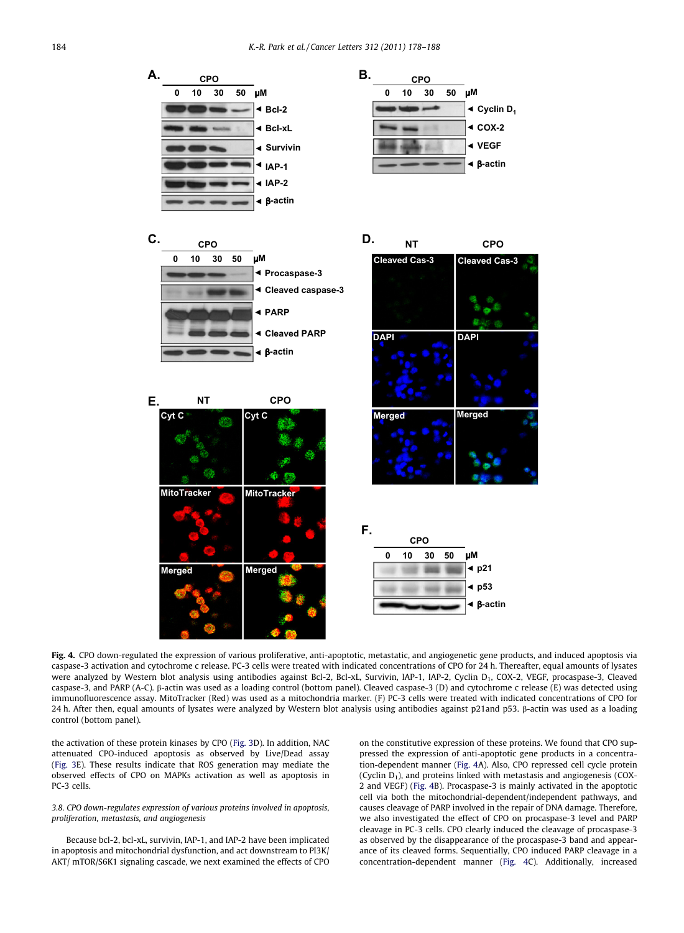<span id="page-6-0"></span>

Fig. 4. CPO down-regulated the expression of various proliferative, anti-apoptotic, metastatic, and angiogenetic gene products, and induced apoptosis via caspase-3 activation and cytochrome c release. PC-3 cells were treated with indicated concentrations of CPO for 24 h. Thereafter, equal amounts of lysates were analyzed by Western blot analysis using antibodies against Bcl-2, Bcl-xL, Survivin, IAP-1, IAP-2, Cyclin D<sub>1</sub>, COX-2, VEGF, procaspase-3, Cleaved caspase-3, and PARP (A-C). b-actin was used as a loading control (bottom panel). Cleaved caspase-3 (D) and cytochrome c release (E) was detected using immunofluorescence assay. MitoTracker (Red) was used as a mitochondria marker. (F) PC-3 cells were treated with indicated concentrations of CPO for 24 h. After then, equal amounts of lysates were analyzed by Western blot analysis using antibodies against p21and p53. b-actin was used as a loading control (bottom panel).

the activation of these protein kinases by CPO ([Fig. 3D](#page-5-0)). In addition, NAC attenuated CPO-induced apoptosis as observed by Live/Dead assay ([Fig. 3E](#page-5-0)). These results indicate that ROS generation may mediate the observed effects of CPO on MAPKs activation as well as apoptosis in PC-3 cells.

#### 3.8. CPO down-regulates expression of various proteins involved in apoptosis, proliferation, metastasis, and angiogenesis

Because bcl-2, bcl-xL, survivin, IAP-1, and IAP-2 have been implicated in apoptosis and mitochondrial dysfunction, and act downstream to PI3K/ AKT/ mTOR/S6K1 signaling cascade, we next examined the effects of CPO

on the constitutive expression of these proteins. We found that CPO suppressed the expression of anti-apoptotic gene products in a concentration-dependent manner (Fig. 4A). Also, CPO repressed cell cycle protein (Cyclin  $D_1$ ), and proteins linked with metastasis and angiogenesis (COX-2 and VEGF) (Fig. 4B). Procaspase-3 is mainly activated in the apoptotic cell via both the mitochondrial-dependent/independent pathways, and causes cleavage of PARP involved in the repair of DNA damage. Therefore, we also investigated the effect of CPO on procaspase-3 level and PARP cleavage in PC-3 cells. CPO clearly induced the cleavage of procaspase-3 as observed by the disappearance of the procaspase-3 band and appearance of its cleaved forms. Sequentially, CPO induced PARP cleavage in a concentration-dependent manner (Fig. 4C). Additionally, increased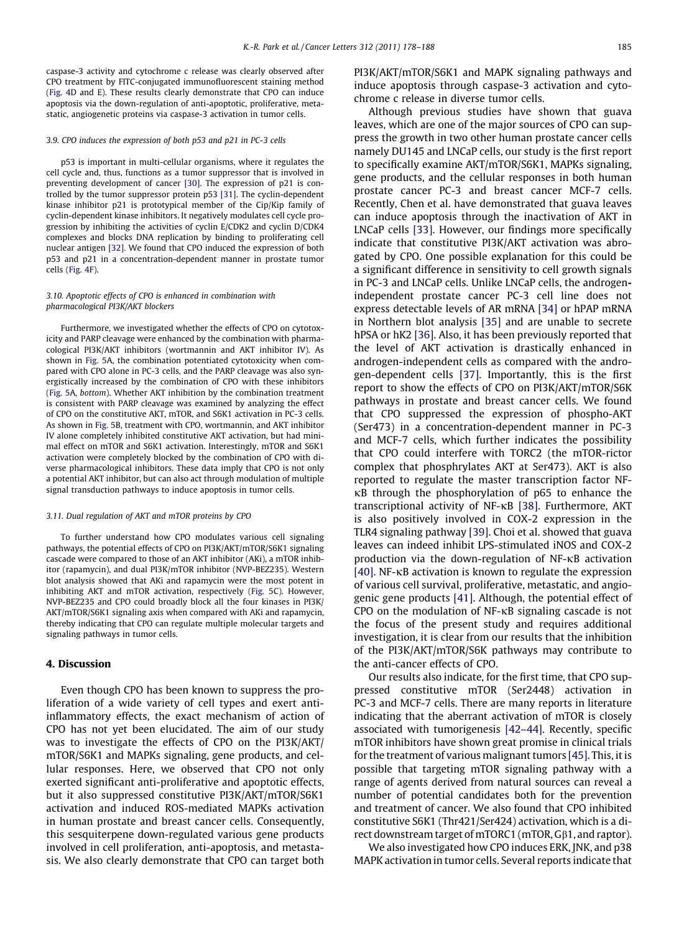caspase-3 activity and cytochrome c release was clearly observed after CPO treatment by FITC-conjugated immunofluorescent staining method [\(Fig. 4](#page-6-0)D and E). These results clearly demonstrate that CPO can induce apoptosis via the down-regulation of anti-apoptotic, proliferative, metastatic, angiogenetic proteins via caspase-3 activation in tumor cells.

#### 3.9. CPO induces the expression of both p53 and p21 in PC-3 cells

p53 is important in multi-cellular organisms, where it regulates the cell cycle and, thus, functions as a tumor suppressor that is involved in preventing development of cancer [\[30\]](#page-10-0). The expression of p21 is controlled by the tumor suppressor protein p53 [\[31\]](#page-10-0). The cyclin-dependent kinase inhibitor p21 is prototypical member of the Cip/Kip family of cyclin-dependent kinase inhibitors. It negatively modulates cell cycle progression by inhibiting the activities of cyclin E/CDK2 and cyclin D/CDK4 complexes and blocks DNA replication by binding to proliferating cell nuclear antigen [\[32\].](#page-10-0) We found that CPO induced the expression of both p53 and p21 in a concentration-dependent manner in prostate tumor cells ([Fig. 4](#page-6-0)F).

#### 3.10. Apoptotic effects of CPO is enhanced in combination with pharmacological PI3K/AKT blockers

Furthermore, we investigated whether the effects of CPO on cytotoxicity and PARP cleavage were enhanced by the combination with pharmacological PI3K/AKT inhibitors (wortmannin and AKT inhibitor IV). As shown in [Fig. 5](#page-8-0)A, the combination potentiated cytotoxicity when compared with CPO alone in PC-3 cells, and the PARP cleavage was also synergistically increased by the combination of CPO with these inhibitors [\(Fig. 5A](#page-8-0), bottom). Whether AKT inhibition by the combination treatment is consistent with PARP cleavage was examined by analyzing the effect of CPO on the constitutive AKT, mTOR, and S6K1 activation in PC-3 cells. As shown in [Fig. 5](#page-8-0)B, treatment with CPO, wortmannin, and AKT inhibitor IV alone completely inhibited constitutive AKT activation, but had minimal effect on mTOR and S6K1 activation. Interestingly, mTOR and S6K1 activation were completely blocked by the combination of CPO with diverse pharmacological inhibitors. These data imply that CPO is not only a potential AKT inhibitor, but can also act through modulation of multiple signal transduction pathways to induce apoptosis in tumor cells.

#### 3.11. Dual regulation of AKT and mTOR proteins by CPO

To further understand how CPO modulates various cell signaling pathways, the potential effects of CPO on PI3K/AKT/mTOR/S6K1 signaling cascade were compared to those of an AKT inhibitor (AKi), a mTOR inhibitor (rapamycin), and dual PI3K/mTOR inhibitor (NVP-BEZ235). Western blot analysis showed that AKi and rapamycin were the most potent in inhibiting AKT and mTOR activation, respectively [\(Fig. 5C](#page-8-0)). However, NVP-BEZ235 and CPO could broadly block all the four kinases in PI3K/ AKT/mTOR/S6K1 signaling axis when compared with AKi and rapamycin, thereby indicating that CPO can regulate multiple molecular targets and signaling pathways in tumor cells.

## 4. Discussion

Even though CPO has been known to suppress the proliferation of a wide variety of cell types and exert antiinflammatory effects, the exact mechanism of action of CPO has not yet been elucidated. The aim of our study was to investigate the effects of CPO on the PI3K/AKT/ mTOR/S6K1 and MAPKs signaling, gene products, and cellular responses. Here, we observed that CPO not only exerted significant anti-proliferative and apoptotic effects, but it also suppressed constitutive PI3K/AKT/mTOR/S6K1 activation and induced ROS-mediated MAPKs activation in human prostate and breast cancer cells. Consequently, this sesquiterpene down-regulated various gene products involved in cell proliferation, anti-apoptosis, and metastasis. We also clearly demonstrate that CPO can target both PI3K/AKT/mTOR/S6K1 and MAPK signaling pathways and induce apoptosis through caspase-3 activation and cytochrome c release in diverse tumor cells.

Although previous studies have shown that guava leaves, which are one of the major sources of CPO can suppress the growth in two other human prostate cancer cells namely DU145 and LNCaP cells, our study is the first report to specifically examine AKT/mTOR/S6K1, MAPKs signaling, gene products, and the cellular responses in both human prostate cancer PC-3 and breast cancer MCF-7 cells. Recently, Chen et al. have demonstrated that guava leaves can induce apoptosis through the inactivation of AKT in LNCaP cells [\[33\]](#page-10-0). However, our findings more specifically indicate that constitutive PI3K/AKT activation was abrogated by CPO. One possible explanation for this could be a significant difference in sensitivity to cell growth signals in PC-3 and LNCaP cells. Unlike LNCaP cells, the androgenindependent prostate cancer PC-3 cell line does not express detectable levels of AR mRNA [\[34\]](#page-10-0) or hPAP mRNA in Northern blot analysis [\[35\]](#page-10-0) and are unable to secrete hPSA or hK2 [\[36\]](#page-10-0). Also, it has been previously reported that the level of AKT activation is drastically enhanced in androgen-independent cells as compared with the androgen-dependent cells [\[37\]](#page-10-0). Importantly, this is the first report to show the effects of CPO on PI3K/AKT/mTOR/S6K pathways in prostate and breast cancer cells. We found that CPO suppressed the expression of phospho-AKT (Ser473) in a concentration-dependent manner in PC-3 and MCF-7 cells, which further indicates the possibility that CPO could interfere with TORC2 (the mTOR-rictor complex that phosphrylates AKT at Ser473). AKT is also reported to regulate the master transcription factor NF- $\kappa$ B through the phosphorylation of p65 to enhance the transcriptional activity of NF- $\kappa$ B [\[38\]](#page-10-0). Furthermore, AKT is also positively involved in COX-2 expression in the TLR4 signaling pathway [\[39\].](#page-10-0) Choi et al. showed that guava leaves can indeed inhibit LPS-stimulated iNOS and COX-2 production via the down-regulation of NF-KB activation [\[40\]](#page-10-0). NF- $\kappa$ B activation is known to regulate the expression of various cell survival, proliferative, metastatic, and angiogenic gene products [\[41\].](#page-10-0) Although, the potential effect of CPO on the modulation of  $NF$ - $\kappa$ B signaling cascade is not the focus of the present study and requires additional investigation, it is clear from our results that the inhibition of the PI3K/AKT/mTOR/S6K pathways may contribute to the anti-cancer effects of CPO.

Our results also indicate, for the first time, that CPO suppressed constitutive mTOR (Ser2448) activation in PC-3 and MCF-7 cells. There are many reports in literature indicating that the aberrant activation of mTOR is closely associated with tumorigenesis [\[42–44\].](#page-10-0) Recently, specific mTOR inhibitors have shown great promise in clinical trials for the treatment of various malignant tumors [\[45\].](#page-10-0) This, it is possible that targeting mTOR signaling pathway with a range of agents derived from natural sources can reveal a number of potential candidates both for the prevention and treatment of cancer. We also found that CPO inhibited constitutive S6K1 (Thr421/Ser424) activation, which is a direct downstream target of mTORC1 (mTOR, G $\beta$ 1, and raptor).

We also investigated how CPO induces ERK, JNK, and p38 MAPK activation in tumor cells. Several reports indicate that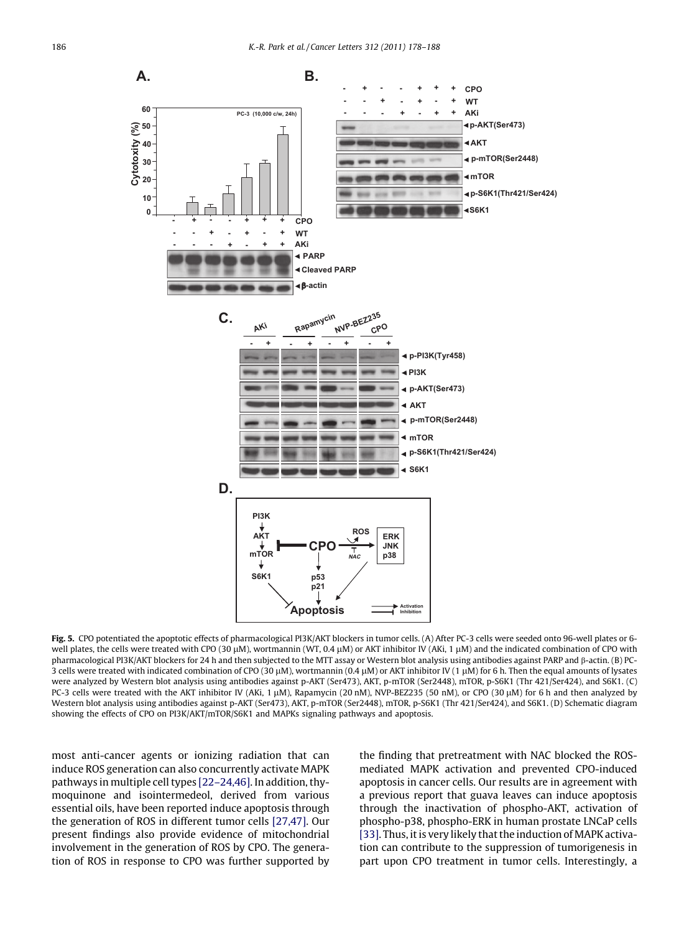<span id="page-8-0"></span>

Fig. 5. CPO potentiated the apoptotic effects of pharmacological PI3K/AKT blockers in tumor cells. (A) After PC-3 cells were seeded onto 96-well plates or 6well plates, the cells were treated with CPO (30  $\mu$ M), wortmannin (WT, 0.4  $\mu$ M) or AKT inhibitor IV (AKi, 1  $\mu$ M) and the indicated combination of CPO with pharmacological PI3K/AKT blockers for 24 h and then subjected to the MTT assay or Western blot analysis using antibodies against PARP and  $\beta$ -actin. (B) PC-3 cells were treated with indicated combination of CPO (30  $\mu$ M), wortmannin (0.4  $\mu$ M) or AKT inhibitor IV (1  $\mu$ M) for 6 h. Then the equal amounts of lysates were analyzed by Western blot analysis using antibodies against p-AKT (Ser473), AKT, p-mTOR (Ser2448), mTOR, p-S6K1 (Thr 421/Ser424), and S6K1. (C) PC-3 cells were treated with the AKT inhibitor IV (AKi, 1  $\mu$ M), Rapamycin (20 nM), NVP-BEZ235 (50 nM), or CPO (30  $\mu$ M) for 6 h and then analyzed by Western blot analysis using antibodies against p-AKT (Ser473), AKT, p-mTOR (Ser2448), mTOR, p-S6K1 (Thr 421/Ser424), and S6K1. (D) Schematic diagram showing the effects of CPO on PI3K/AKT/mTOR/S6K1 and MAPKs signaling pathways and apoptosis.

most anti-cancer agents or ionizing radiation that can induce ROS generation can also concurrently activate MAPK pathways in multiple cell types [\[22–24,46\]](#page-10-0). In addition, thymoquinone and isointermedeol, derived from various essential oils, have been reported induce apoptosis through the generation of ROS in different tumor cells [\[27,47\].](#page-10-0) Our present findings also provide evidence of mitochondrial involvement in the generation of ROS by CPO. The generation of ROS in response to CPO was further supported by

the finding that pretreatment with NAC blocked the ROSmediated MAPK activation and prevented CPO-induced apoptosis in cancer cells. Our results are in agreement with a previous report that guava leaves can induce apoptosis through the inactivation of phospho-AKT, activation of phospho-p38, phospho-ERK in human prostate LNCaP cells [\[33\].](#page-10-0) Thus, it is very likely that the induction of MAPK activation can contribute to the suppression of tumorigenesis in part upon CPO treatment in tumor cells. Interestingly, a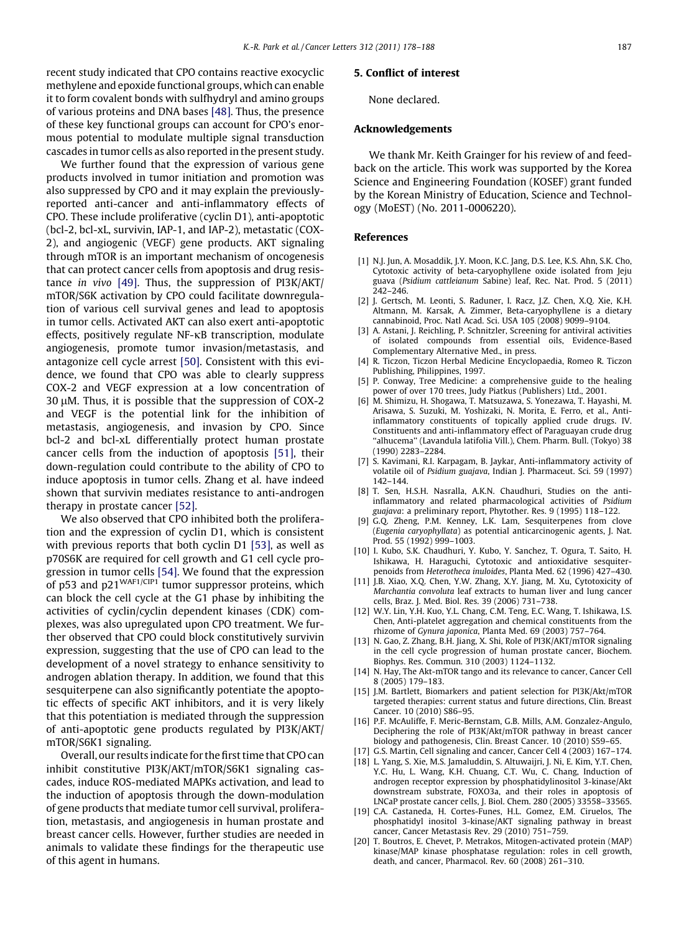<span id="page-9-0"></span>recent study indicated that CPO contains reactive exocyclic methylene and epoxide functional groups, which can enable it to form covalent bonds with sulfhydryl and amino groups of various proteins and DNA bases [\[48\].](#page-10-0) Thus, the presence of these key functional groups can account for CPO's enormous potential to modulate multiple signal transduction cascades in tumor cells as also reported in the present study.

We further found that the expression of various gene products involved in tumor initiation and promotion was also suppressed by CPO and it may explain the previouslyreported anti-cancer and anti-inflammatory effects of CPO. These include proliferative (cyclin D1), anti-apoptotic (bcl-2, bcl-xL, survivin, IAP-1, and IAP-2), metastatic (COX-2), and angiogenic (VEGF) gene products. AKT signaling through mTOR is an important mechanism of oncogenesis that can protect cancer cells from apoptosis and drug resistance in vivo [\[49\]](#page-10-0). Thus, the suppression of PI3K/AKT/ mTOR/S6K activation by CPO could facilitate downregulation of various cell survival genes and lead to apoptosis in tumor cells. Activated AKT can also exert anti-apoptotic effects, positively regulate NF- $\kappa$ B transcription, modulate angiogenesis, promote tumor invasion/metastasis, and antagonize cell cycle arrest [\[50\]](#page-10-0). Consistent with this evidence, we found that CPO was able to clearly suppress COX-2 and VEGF expression at a low concentration of  $30 \mu$ M. Thus, it is possible that the suppression of COX-2 and VEGF is the potential link for the inhibition of metastasis, angiogenesis, and invasion by CPO. Since bcl-2 and bcl-xL differentially protect human prostate cancer cells from the induction of apoptosis [\[51\],](#page-10-0) their down-regulation could contribute to the ability of CPO to induce apoptosis in tumor cells. Zhang et al. have indeed shown that survivin mediates resistance to anti-androgen therapy in prostate cancer [\[52\]](#page-10-0).

We also observed that CPO inhibited both the proliferation and the expression of cyclin D1, which is consistent with previous reports that both cyclin D1 [\[53\]](#page-10-0), as well as p70S6K are required for cell growth and G1 cell cycle progression in tumor cells [\[54\]](#page-10-0). We found that the expression of p53 and  $p21^{WAFI/CIP1}$  tumor suppressor proteins, which can block the cell cycle at the G1 phase by inhibiting the activities of cyclin/cyclin dependent kinases (CDK) complexes, was also upregulated upon CPO treatment. We further observed that CPO could block constitutively survivin expression, suggesting that the use of CPO can lead to the development of a novel strategy to enhance sensitivity to androgen ablation therapy. In addition, we found that this sesquiterpene can also significantly potentiate the apoptotic effects of specific AKT inhibitors, and it is very likely that this potentiation is mediated through the suppression of anti-apoptotic gene products regulated by PI3K/AKT/ mTOR/S6K1 signaling.

Overall, our results indicate for the first time that CPO can inhibit constitutive PI3K/AKT/mTOR/S6K1 signaling cascades, induce ROS-mediated MAPKs activation, and lead to the induction of apoptosis through the down-modulation of gene products that mediate tumor cell survival, proliferation, metastasis, and angiogenesis in human prostate and breast cancer cells. However, further studies are needed in animals to validate these findings for the therapeutic use of this agent in humans.

# 5. Conflict of interest

None declared.

# Acknowledgements

We thank Mr. Keith Grainger for his review of and feedback on the article. This work was supported by the Korea Science and Engineering Foundation (KOSEF) grant funded by the Korean Ministry of Education, Science and Technology (MoEST) (No. 2011-0006220).

# References

- [1] N.J. Jun, A. Mosaddik, J.Y. Moon, K.C. Jang, D.S. Lee, K.S. Ahn, S.K. Cho, Cytotoxic activity of beta-caryophyllene oxide isolated from Jeju guava (Psidium cattleianum Sabine) leaf, Rec. Nat. Prod. 5 (2011) 242–246.
- [2] J. Gertsch, M. Leonti, S. Raduner, I. Racz, J.Z. Chen, X.Q. Xie, K.H. Altmann, M. Karsak, A. Zimmer, Beta-caryophyllene is a dietary cannabinoid, Proc. Natl Acad. Sci. USA 105 (2008) 9099–9104.
- [3] A. Astani, J. Reichling, P. Schnitzler, Screening for antiviral activities of isolated compounds from essential oils, Evidence-Based Complementary Alternative Med., in press.
- [4] R. Ticzon, Ticzon Herbal Medicine Encyclopaedia, Romeo R. Ticzon Publishing, Philippines, 1997.
- [5] P. Conway, Tree Medicine: a comprehensive guide to the healing power of over 170 trees, Judy Piatkus (Publishers) Ltd., 2001.
- [6] M. Shimizu, H. Shogawa, T. Matsuzawa, S. Yonezawa, T. Hayashi, M. Arisawa, S. Suzuki, M. Yoshizaki, N. Morita, E. Ferro, et al., Antiinflammatory constituents of topically applied crude drugs. IV. Constituents and anti-inflammatory effect of Paraguayan crude drug ''alhucema'' (Lavandula latifolia Vill.), Chem. Pharm. Bull. (Tokyo) 38 (1990) 2283–2284.
- [7] S. Kavimani, R.I. Karpagam, B. Jaykar, Anti-inflammatory activity of volatile oil of Psidium guajava, Indian J. Pharmaceut. Sci. 59 (1997) 142–144.
- [8] T. Sen, H.S.H. Nasralla, A.K.N. Chaudhuri, Studies on the antiinflammatory and related pharmacological activities of Psidium guajava: a preliminary report, Phytother. Res. 9 (1995) 118–122.
- [9] G.Q. Zheng, P.M. Kenney, L.K. Lam, Sesquiterpenes from clove (Eugenia caryophyllata) as potential anticarcinogenic agents, J. Nat. Prod. 55 (1992) 999–1003.
- [10] I. Kubo, S.K. Chaudhuri, Y. Kubo, Y. Sanchez, T. Ogura, T. Saito, H. Ishikawa, H. Haraguchi, Cytotoxic and antioxidative sesquiterpenoids from Heterotheca inuloides, Planta Med. 62 (1996) 427–430.
- [11] J.B. Xiao, X.Q. Chen, Y.W. Zhang, X.Y. Jiang, M. Xu, Cytotoxicity of Marchantia convoluta leaf extracts to human liver and lung cancer cells, Braz. J. Med. Biol. Res. 39 (2006) 731–738.
- [12] W.Y. Lin, Y.H. Kuo, Y.L. Chang, C.M. Teng, E.C. Wang, T. Ishikawa, I.S. Chen, Anti-platelet aggregation and chemical constituents from the rhizome of Gynura japonica, Planta Med. 69 (2003) 757–764.
- [13] N. Gao, Z. Zhang, B.H. Jiang, X. Shi, Role of PI3K/AKT/mTOR signaling in the cell cycle progression of human prostate cancer, Biochem. Biophys. Res. Commun. 310 (2003) 1124–1132.
- [14] N. Hay, The Akt-mTOR tango and its relevance to cancer, Cancer Cell 8 (2005) 179–183.
- [15] J.M. Bartlett, Biomarkers and patient selection for PI3K/Akt/mTOR targeted therapies: current status and future directions, Clin. Breast Cancer. 10 (2010) S86–95.
- [16] P.F. McAuliffe, F. Meric-Bernstam, G.B. Mills, A.M. Gonzalez-Angulo, Deciphering the role of PI3K/Akt/mTOR pathway in breast cancer biology and pathogenesis, Clin. Breast Cancer. 10 (2010) S59–65.
- [17] G.S. Martin, Cell signaling and cancer, Cancer Cell 4 (2003) 167–174.
- [18] L. Yang, S. Xie, M.S. Jamaluddin, S. Altuwaijri, J. Ni, E. Kim, Y.T. Chen, Y.C. Hu, L. Wang, K.H. Chuang, C.T. Wu, C. Chang, Induction of androgen receptor expression by phosphatidylinositol 3-kinase/Akt downstream substrate, FOXO3a, and their roles in apoptosis of LNCaP prostate cancer cells, J. Biol. Chem. 280 (2005) 33558–33565.
- [19] C.A. Castaneda, H. Cortes-Funes, H.L. Gomez, E.M. Ciruelos, The phosphatidyl inositol 3-kinase/AKT signaling pathway in breast cancer, Cancer Metastasis Rev. 29 (2010) 751–759.
- [20] T. Boutros, E. Chevet, P. Metrakos, Mitogen-activated protein (MAP) kinase/MAP kinase phosphatase regulation: roles in cell growth, death, and cancer, Pharmacol. Rev. 60 (2008) 261–310.